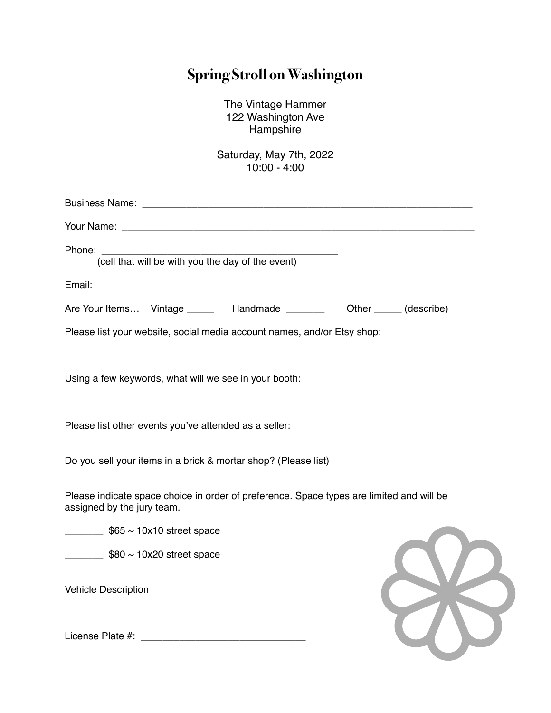## **Spring Stroll on Washington**

The Vintage Hammer 122 Washington Ave Hampshire

Saturday, May 7th, 2022 10:00 - 4:00

| Phone:<br>(cell that will be with you the day of the event)                                                            |
|------------------------------------------------------------------------------------------------------------------------|
|                                                                                                                        |
| Are Your Items Vintage ______ Handmade _______<br>Other _______ (describe)                                             |
| Please list your website, social media account names, and/or Etsy shop:                                                |
| Using a few keywords, what will we see in your booth:                                                                  |
| Please list other events you've attended as a seller:                                                                  |
| Do you sell your items in a brick & mortar shop? (Please list)                                                         |
| Please indicate space choice in order of preference. Space types are limited and will be<br>assigned by the jury team. |
| $\frac{1}{2}$ \$65 ~ 10x10 street space                                                                                |
| $\frac{1}{2}$ \$80 ~ 10x20 street space                                                                                |
| <b>Vehicle Description</b>                                                                                             |
| License Plate #:                                                                                                       |